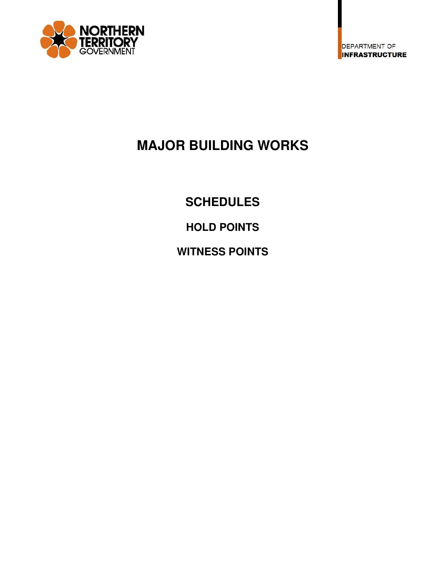

# **MAJOR BUILDING WORKS**

**SCHEDULES** 

**HOLD POINTS** 

**WITNESS POINTS**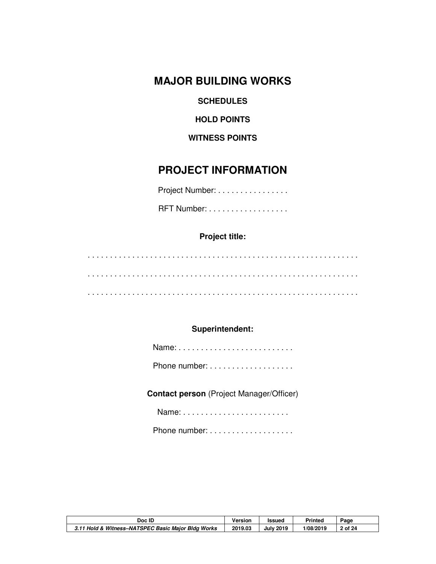**MAJOR BUILDING WORKS** 

**SCHEDULES** 

**HOLD POINTS** 

**WITNESS POINTS** 

## **PROJECT INFORMATION**

Project Number: . . . . . . . . . . . . . . . .

**RFT Number:** . . . . . . . . . . . . . . . . . .

### **Project title:**

. . . . . . . . . . . . . . . . . . . . . . . . . . . . . . . . . . . . . . . . . . . . . . . . . . . . . . . . . . . . . . . . . . . . . . . . . . . . . . . . . . . . . . . . . . . . . . . . . . . . . . . . . . . . . . . . . . . . . . . . . . . . . . . . . . . . . . . . . . . . . . . . . . . . . . . . . . . . . . . . . . . . . . . . . . . . . . . . . . . . . . .

#### **Superintendent:**

**Contact person** (Project Manager/Officer)

Name: . . . . . . . . . . . . . . . . . . . . . . . .

Phone number: . . . . . . . . . . . . . . . . . . .

| Doc ID                                             | Versior | <b>Issued</b> | Printed   | Page  |
|----------------------------------------------------|---------|---------------|-----------|-------|
| 3.11 Hold & Witness-NATSPEC Basic Major Bldg Works | 2019.03 | 2019<br>July  | 1/08/2019 | of 24 |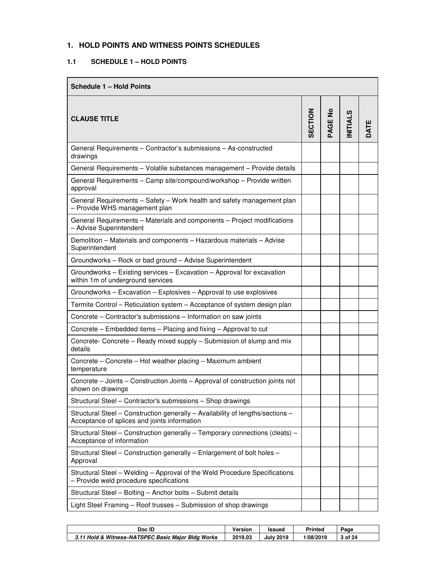#### **1. HOLD POINTS AND WITNESS POINTS SCHEDULES**

#### **1.1 SCHEDULE 1 – HOLD POINTS**

| <b>Schedule 1 - Hold Points</b>                                                                                                |         |                           |                |                 |
|--------------------------------------------------------------------------------------------------------------------------------|---------|---------------------------|----------------|-----------------|
| <b>CLAUSE TITLE</b>                                                                                                            | SECTION | $\epsilon$<br><b>PAGE</b> | <b>NITIALS</b> | ш<br><b>TAC</b> |
| General Requirements - Contractor's submissions - As-constructed<br>drawings                                                   |         |                           |                |                 |
| General Requirements - Volatile substances management - Provide details                                                        |         |                           |                |                 |
| General Requirements - Camp site/compound/workshop - Provide written<br>approval                                               |         |                           |                |                 |
| General Requirements - Safety - Work health and safety management plan<br>- Provide WHS management plan                        |         |                           |                |                 |
| General Requirements - Materials and components - Project modifications<br>- Advise Superintendent                             |         |                           |                |                 |
| Demolition - Materials and components - Hazardous materials - Advise<br>Superintendent                                         |         |                           |                |                 |
| Groundworks - Rock or bad ground - Advise Superintendent                                                                       |         |                           |                |                 |
| Groundworks - Existing services - Excavation - Approval for excavation<br>within 1m of underground services                    |         |                           |                |                 |
| Groundworks - Excavation - Explosives - Approval to use explosives                                                             |         |                           |                |                 |
| Termite Control - Reticulation system - Acceptance of system design plan                                                       |         |                           |                |                 |
| Concrete - Contractor's submissions - Information on saw joints                                                                |         |                           |                |                 |
| Concrete – Embedded items – Placing and fixing – Approval to cut                                                               |         |                           |                |                 |
| Concrete- Concrete - Ready mixed supply - Submission of slump and mix<br>details                                               |         |                           |                |                 |
| Concrete - Concrete - Hot weather placing - Maximum ambient<br>temperature                                                     |         |                           |                |                 |
| Concrete – Joints – Construction Joints – Approval of construction joints not<br>shown on drawings                             |         |                           |                |                 |
| Structural Steel - Contractor's submissions - Shop drawings                                                                    |         |                           |                |                 |
| Structural Steel - Construction generally - Availability of lengths/sections -<br>Acceptance of splices and joints information |         |                           |                |                 |
| Structural Steel - Construction generally - Temporary connections (cleats) -<br>Acceptance of information                      |         |                           |                |                 |
| Structural Steel - Construction generally - Enlargement of bolt holes -<br>Approval                                            |         |                           |                |                 |
| Structural Steel - Welding - Approval of the Weld Procedure Specifications<br>- Provide weld procedure specifications          |         |                           |                |                 |
| Structural Steel - Bolting - Anchor bolts - Submit details                                                                     |         |                           |                |                 |
| Light Steel Framing - Roof trusses - Submission of shop drawings                                                               |         |                           |                |                 |

| Doc ID                                             | Version | <b>Issued</b>    | Printed   | Paɑe  |
|----------------------------------------------------|---------|------------------|-----------|-------|
| 3.11 Hold & Witness-NATSPEC Basic Maior Bldg Works | 2019.03 | <b>July 2019</b> | 1/08/2019 | of 24 |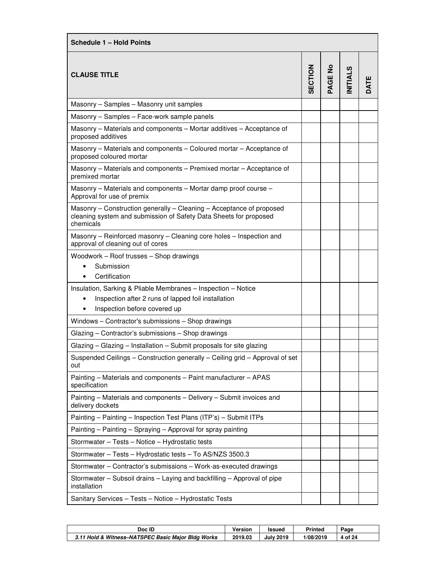| Schedule 1 - Hold Points                                                                                                                               |         |         |                |      |
|--------------------------------------------------------------------------------------------------------------------------------------------------------|---------|---------|----------------|------|
| <b>CLAUSE TITLE</b>                                                                                                                                    | SECTION | PAGE No | <b>NITIALS</b> | DATE |
| Masonry - Samples - Masonry unit samples                                                                                                               |         |         |                |      |
| Masonry - Samples - Face-work sample panels                                                                                                            |         |         |                |      |
| Masonry - Materials and components - Mortar additives - Acceptance of<br>proposed additives                                                            |         |         |                |      |
| Masonry - Materials and components - Coloured mortar - Acceptance of<br>proposed coloured mortar                                                       |         |         |                |      |
| Masonry - Materials and components - Premixed mortar - Acceptance of<br>premixed mortar                                                                |         |         |                |      |
| Masonry - Materials and components - Mortar damp proof course -<br>Approval for use of premix                                                          |         |         |                |      |
| Masonry – Construction generally – Cleaning – Acceptance of proposed<br>cleaning system and submission of Safety Data Sheets for proposed<br>chemicals |         |         |                |      |
| Masonry - Reinforced masonry - Cleaning core holes - Inspection and<br>approval of cleaning out of cores                                               |         |         |                |      |
| Woodwork - Roof trusses - Shop drawings<br>Submission<br>$\bullet$<br>Certification                                                                    |         |         |                |      |
| Insulation, Sarking & Pliable Membranes - Inspection - Notice<br>Inspection after 2 runs of lapped foil installation<br>٠                              |         |         |                |      |
| Inspection before covered up<br>$\bullet$                                                                                                              |         |         |                |      |
| Windows - Contractor's submissions - Shop drawings                                                                                                     |         |         |                |      |
| Glazing - Contractor's submissions - Shop drawings                                                                                                     |         |         |                |      |
| Glazing - Glazing - Installation - Submit proposals for site glazing                                                                                   |         |         |                |      |
| Suspended Ceilings - Construction generally - Ceiling grid - Approval of set<br>out                                                                    |         |         |                |      |
| Painting - Materials and components - Paint manufacturer - APAS<br>specification                                                                       |         |         |                |      |
| Painting - Materials and components - Delivery - Submit invoices and<br>delivery dockets                                                               |         |         |                |      |
| Painting - Painting - Inspection Test Plans (ITP's) - Submit ITPs                                                                                      |         |         |                |      |
| Painting - Painting - Spraying - Approval for spray painting                                                                                           |         |         |                |      |
| Stormwater - Tests - Notice - Hydrostatic tests                                                                                                        |         |         |                |      |
| Stormwater - Tests - Hydrostatic tests - To AS/NZS 3500.3                                                                                              |         |         |                |      |
| Stormwater - Contractor's submissions - Work-as-executed drawings                                                                                      |         |         |                |      |
| Stormwater - Subsoil drains - Laying and backfilling - Approval of pipe<br>installation                                                                |         |         |                |      |
| Sanitary Services - Tests - Notice - Hydrostatic Tests                                                                                                 |         |         |                |      |

| Doc ID                                             | Version | <b>Issued</b>    | <b>Printed</b> | Page  |
|----------------------------------------------------|---------|------------------|----------------|-------|
| 3.11 Hold & Witness-NATSPEC Basic Major Bldg Works | 2019.03 | <b>July 2019</b> | 1/08/2019      | of 24 |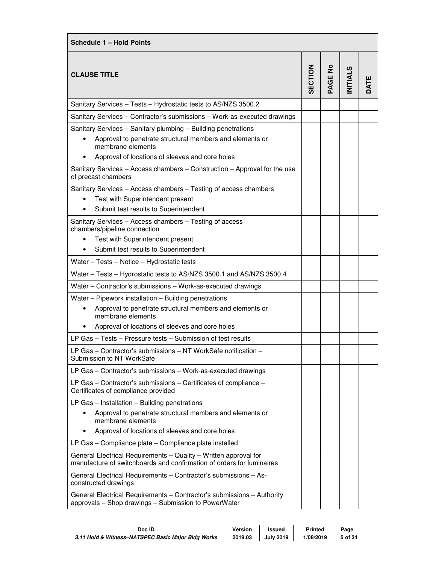| <b>Schedule 1 - Hold Points</b>                                                                                                           |         |                       |                |      |
|-------------------------------------------------------------------------------------------------------------------------------------------|---------|-----------------------|----------------|------|
| <b>CLAUSE TITLE</b>                                                                                                                       | SECTION | $\frac{1}{2}$<br>PAGE | <b>NITIALS</b> | DATE |
| Sanitary Services - Tests - Hydrostatic tests to AS/NZS 3500.2                                                                            |         |                       |                |      |
| Sanitary Services - Contractor's submissions - Work-as-executed drawings                                                                  |         |                       |                |      |
| Sanitary Services - Sanitary plumbing - Building penetrations                                                                             |         |                       |                |      |
| Approval to penetrate structural members and elements or<br>membrane elements                                                             |         |                       |                |      |
| Approval of locations of sleeves and core holes                                                                                           |         |                       |                |      |
| Sanitary Services - Access chambers - Construction - Approval for the use<br>of precast chambers                                          |         |                       |                |      |
| Sanitary Services - Access chambers - Testing of access chambers                                                                          |         |                       |                |      |
| Test with Superintendent present                                                                                                          |         |                       |                |      |
| Submit test results to Superintendent                                                                                                     |         |                       |                |      |
| Sanitary Services - Access chambers - Testing of access<br>chambers/pipeline connection                                                   |         |                       |                |      |
| Test with Superintendent present                                                                                                          |         |                       |                |      |
| Submit test results to Superintendent                                                                                                     |         |                       |                |      |
| Water - Tests - Notice - Hydrostatic tests                                                                                                |         |                       |                |      |
| Water - Tests - Hydrostatic tests to AS/NZS 3500.1 and AS/NZS 3500.4                                                                      |         |                       |                |      |
| Water - Contractor's submissions - Work-as-executed drawings                                                                              |         |                       |                |      |
| Water - Pipework installation - Building penetrations                                                                                     |         |                       |                |      |
| Approval to penetrate structural members and elements or<br>$\bullet$<br>membrane elements                                                |         |                       |                |      |
| Approval of locations of sleeves and core holes                                                                                           |         |                       |                |      |
| LP Gas - Tests - Pressure tests - Submission of test results                                                                              |         |                       |                |      |
| LP Gas – Contractor's submissions – NT WorkSafe notification –                                                                            |         |                       |                |      |
| Submission to NT WorkSafe                                                                                                                 |         |                       |                |      |
| LP Gas - Contractor's submissions - Work-as-executed drawings                                                                             |         |                       |                |      |
| LP Gas - Contractor's submissions - Certificates of compliance -<br>Certificates of compliance provided                                   |         |                       |                |      |
| LP Gas $-$ Installation $-$ Building penetrations                                                                                         |         |                       |                |      |
| Approval to penetrate structural members and elements or<br>membrane elements                                                             |         |                       |                |      |
| Approval of locations of sleeves and core holes                                                                                           |         |                       |                |      |
| LP Gas - Compliance plate - Compliance plate installed                                                                                    |         |                       |                |      |
| General Electrical Requirements - Quality - Written approval for<br>manufacture of switchboards and confirmation of orders for luminaires |         |                       |                |      |
| General Electrical Requirements - Contractor's submissions - As-<br>constructed drawings                                                  |         |                       |                |      |
| General Electrical Requirements - Contractor's submissions - Authority<br>approvals - Shop drawings - Submission to PowerWater            |         |                       |                |      |

| Doc ID                                             | Version | Issued         | Printed   | Page    |
|----------------------------------------------------|---------|----------------|-----------|---------|
| 3.11 Hold & Witness-NATSPEC Basic Major Bldg Works | 2019.03 | 2019<br>Julv 1 | 1/08/2019 | ່ of 24 |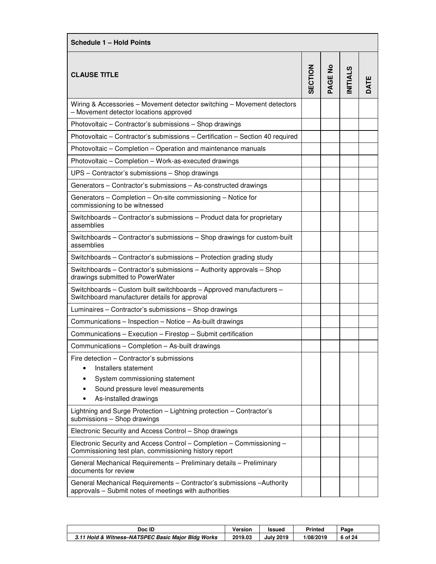| Schedule 1 - Hold Points                                                                                                        |                |         |                |      |
|---------------------------------------------------------------------------------------------------------------------------------|----------------|---------|----------------|------|
| <b>CLAUSE TITLE</b>                                                                                                             | <b>SECTION</b> | PAGE No | <b>NITIALS</b> | DATE |
| Wiring & Accessories - Movement detector switching - Movement detectors<br>- Movement detector locations approved               |                |         |                |      |
| Photovoltaic - Contractor's submissions - Shop drawings                                                                         |                |         |                |      |
| Photovoltaic - Contractor's submissions - Certification - Section 40 required                                                   |                |         |                |      |
| Photovoltaic - Completion - Operation and maintenance manuals                                                                   |                |         |                |      |
| Photovoltaic - Completion - Work-as-executed drawings                                                                           |                |         |                |      |
| UPS - Contractor's submissions - Shop drawings                                                                                  |                |         |                |      |
| Generators - Contractor's submissions - As-constructed drawings                                                                 |                |         |                |      |
| Generators - Completion - On-site commissioning - Notice for<br>commissioning to be witnessed                                   |                |         |                |      |
| Switchboards - Contractor's submissions - Product data for proprietary<br>assemblies                                            |                |         |                |      |
| Switchboards – Contractor's submissions – Shop drawings for custom-built<br>assemblies                                          |                |         |                |      |
| Switchboards - Contractor's submissions - Protection grading study                                                              |                |         |                |      |
| Switchboards – Contractor's submissions – Authority approvals – Shop<br>drawings submitted to PowerWater                        |                |         |                |      |
| Switchboards - Custom built switchboards - Approved manufacturers -<br>Switchboard manufacturer details for approval            |                |         |                |      |
| Luminaires - Contractor's submissions - Shop drawings                                                                           |                |         |                |      |
| Communications - Inspection - Notice - As-built drawings                                                                        |                |         |                |      |
| Communications - Execution - Firestop - Submit certification                                                                    |                |         |                |      |
| Communications - Completion - As-built drawings                                                                                 |                |         |                |      |
| Fire detection - Contractor's submissions                                                                                       |                |         |                |      |
| Installers statement                                                                                                            |                |         |                |      |
| System commissioning statement<br>٠                                                                                             |                |         |                |      |
| Sound pressure level measurements<br>As-installed drawings                                                                      |                |         |                |      |
| Lightning and Surge Protection - Lightning protection - Contractor's                                                            |                |         |                |      |
| submissions - Shop drawings                                                                                                     |                |         |                |      |
| Electronic Security and Access Control - Shop drawings                                                                          |                |         |                |      |
| Electronic Security and Access Control - Completion - Commissioning -<br>Commissioning test plan, commissioning history report  |                |         |                |      |
| General Mechanical Requirements - Preliminary details - Preliminary<br>documents for review                                     |                |         |                |      |
| General Mechanical Requirements - Contractor's submissions - Authority<br>approvals - Submit notes of meetings with authorities |                |         |                |      |

| Doc ID                                             | Version | Issued           | Printed   | Page    |
|----------------------------------------------------|---------|------------------|-----------|---------|
| 3.11 Hold & Witness-NATSPEC Basic Major Bldg Works | 2019.03 | <b>July 2019</b> | 1/08/2019 | 6 of 24 |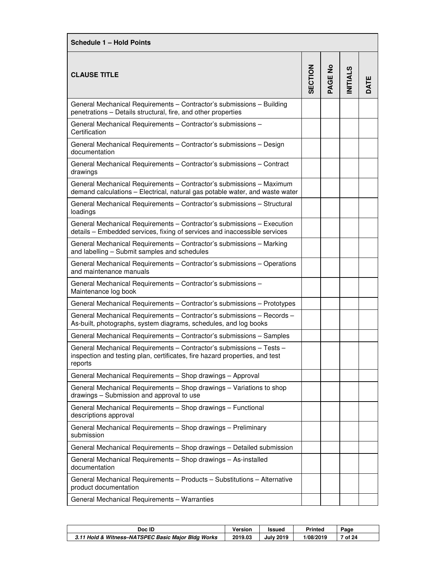| <b>Schedule 1 - Hold Points</b>                                                                                                                                |                |         |                |      |
|----------------------------------------------------------------------------------------------------------------------------------------------------------------|----------------|---------|----------------|------|
| <b>CLAUSE TITLE</b>                                                                                                                                            | <b>SECTION</b> | PAGE No | <b>NITIALS</b> | DATE |
| General Mechanical Requirements - Contractor's submissions - Building<br>penetrations - Details structural, fire, and other properties                         |                |         |                |      |
| General Mechanical Requirements - Contractor's submissions -<br>Certification                                                                                  |                |         |                |      |
| General Mechanical Requirements - Contractor's submissions - Design<br>documentation                                                                           |                |         |                |      |
| General Mechanical Requirements - Contractor's submissions - Contract<br>drawings                                                                              |                |         |                |      |
| General Mechanical Requirements - Contractor's submissions - Maximum<br>demand calculations - Electrical, natural gas potable water, and waste water           |                |         |                |      |
| General Mechanical Requirements - Contractor's submissions - Structural<br>loadings                                                                            |                |         |                |      |
| General Mechanical Requirements - Contractor's submissions - Execution<br>details - Embedded services, fixing of services and inaccessible services            |                |         |                |      |
| General Mechanical Requirements - Contractor's submissions - Marking<br>and labelling - Submit samples and schedules                                           |                |         |                |      |
| General Mechanical Requirements - Contractor's submissions - Operations<br>and maintenance manuals                                                             |                |         |                |      |
| General Mechanical Requirements - Contractor's submissions -<br>Maintenance log book                                                                           |                |         |                |      |
| General Mechanical Requirements - Contractor's submissions - Prototypes                                                                                        |                |         |                |      |
| General Mechanical Requirements - Contractor's submissions - Records -<br>As-built, photographs, system diagrams, schedules, and log books                     |                |         |                |      |
| General Mechanical Requirements - Contractor's submissions - Samples                                                                                           |                |         |                |      |
| General Mechanical Requirements - Contractor's submissions - Tests -<br>inspection and testing plan, certificates, fire hazard properties, and test<br>reports |                |         |                |      |
| General Mechanical Requirements - Shop drawings - Approval                                                                                                     |                |         |                |      |
| General Mechanical Requirements - Shop drawings - Variations to shop<br>drawings - Submission and approval to use                                              |                |         |                |      |
| General Mechanical Requirements - Shop drawings - Functional<br>descriptions approval                                                                          |                |         |                |      |
| General Mechanical Requirements - Shop drawings - Preliminary<br>submission                                                                                    |                |         |                |      |
| General Mechanical Requirements - Shop drawings - Detailed submission                                                                                          |                |         |                |      |
| General Mechanical Requirements - Shop drawings - As-installed<br>documentation                                                                                |                |         |                |      |
| General Mechanical Requirements - Products - Substitutions - Alternative<br>product documentation                                                              |                |         |                |      |
| General Mechanical Requirements - Warranties                                                                                                                   |                |         |                |      |

| Doc ID                                             | Version | <b>Issued</b>    | <b>Printed</b> | Page  |
|----------------------------------------------------|---------|------------------|----------------|-------|
| 3.11 Hold & Witness-NATSPEC Basic Major Bldg Works | 2019.03 | <b>July 2019</b> | 1/08/2019      | of 24 |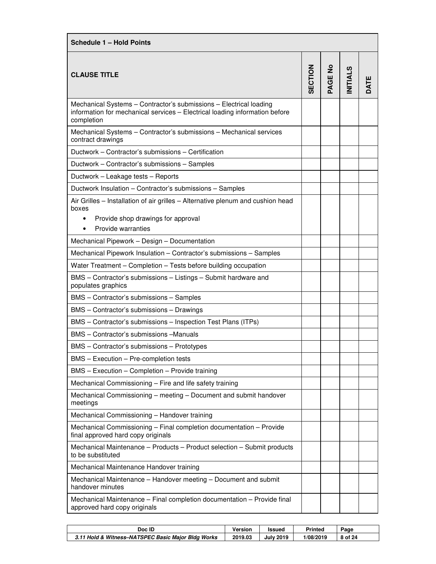| <b>Schedule 1 - Hold Points</b>                                                                                                                                   |                |         |                |      |  |
|-------------------------------------------------------------------------------------------------------------------------------------------------------------------|----------------|---------|----------------|------|--|
| <b>CLAUSE TITLE</b>                                                                                                                                               | <b>SECTION</b> | PAGE No | <b>NITIALS</b> | DATE |  |
| Mechanical Systems - Contractor's submissions - Electrical loading<br>information for mechanical services - Electrical loading information before<br>completion   |                |         |                |      |  |
| Mechanical Systems - Contractor's submissions - Mechanical services<br>contract drawings                                                                          |                |         |                |      |  |
| Ductwork - Contractor's submissions - Certification                                                                                                               |                |         |                |      |  |
| Ductwork - Contractor's submissions - Samples                                                                                                                     |                |         |                |      |  |
| Ductwork - Leakage tests - Reports                                                                                                                                |                |         |                |      |  |
| Ductwork Insulation - Contractor's submissions - Samples                                                                                                          |                |         |                |      |  |
| Air Grilles - Installation of air grilles - Alternative plenum and cushion head<br>boxes<br>Provide shop drawings for approval<br>$\bullet$<br>Provide warranties |                |         |                |      |  |
| Mechanical Pipework - Design - Documentation                                                                                                                      |                |         |                |      |  |
| Mechanical Pipework Insulation - Contractor's submissions - Samples                                                                                               |                |         |                |      |  |
| Water Treatment - Completion - Tests before building occupation                                                                                                   |                |         |                |      |  |
| BMS - Contractor's submissions - Listings - Submit hardware and<br>populates graphics                                                                             |                |         |                |      |  |
| BMS - Contractor's submissions - Samples                                                                                                                          |                |         |                |      |  |
| BMS - Contractor's submissions - Drawings                                                                                                                         |                |         |                |      |  |
| BMS - Contractor's submissions - Inspection Test Plans (ITPs)                                                                                                     |                |         |                |      |  |
| BMS - Contractor's submissions -Manuals                                                                                                                           |                |         |                |      |  |
| BMS - Contractor's submissions - Prototypes                                                                                                                       |                |         |                |      |  |
| BMS - Execution - Pre-completion tests                                                                                                                            |                |         |                |      |  |
| BMS - Execution - Completion - Provide training                                                                                                                   |                |         |                |      |  |
| Mechanical Commissioning - Fire and life safety training                                                                                                          |                |         |                |      |  |
| Mechanical Commissioning - meeting - Document and submit handover<br>meetings                                                                                     |                |         |                |      |  |
| Mechanical Commissioning - Handover training                                                                                                                      |                |         |                |      |  |
| Mechanical Commissioning - Final completion documentation - Provide<br>final approved hard copy originals                                                         |                |         |                |      |  |
| Mechanical Maintenance - Products - Product selection - Submit products<br>to be substituted                                                                      |                |         |                |      |  |
| Mechanical Maintenance Handover training                                                                                                                          |                |         |                |      |  |
| Mechanical Maintenance - Handover meeting - Document and submit<br>handover minutes                                                                               |                |         |                |      |  |
| Mechanical Maintenance - Final completion documentation - Provide final<br>approved hard copy originals                                                           |                |         |                |      |  |

| Doc ID                                             | Version | <b>Issued</b>    | Printed   | Page    |
|----------------------------------------------------|---------|------------------|-----------|---------|
| 3.11 Hold & Witness-NATSPEC Basic Major Bldg Works | 2019.03 | <b>July 2019</b> | 1/08/2019 | 8 of 24 |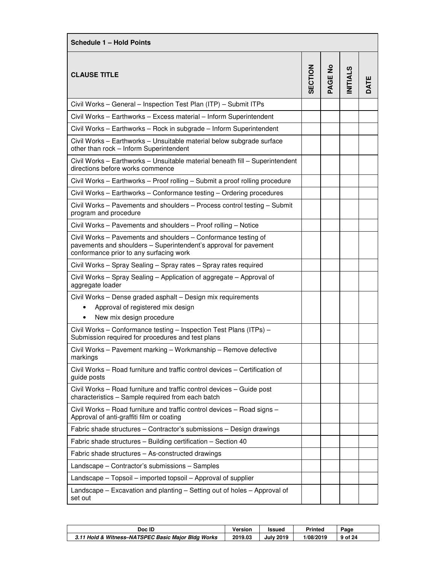| Schedule 1 - Hold Points                                                                                                                                                      |                |         |                 |      |  |
|-------------------------------------------------------------------------------------------------------------------------------------------------------------------------------|----------------|---------|-----------------|------|--|
| <b>CLAUSE TITLE</b>                                                                                                                                                           | <b>SECTION</b> | PAGE No | <b>INITIALS</b> | DATE |  |
| Civil Works - General - Inspection Test Plan (ITP) - Submit ITPs                                                                                                              |                |         |                 |      |  |
| Civil Works - Earthworks - Excess material - Inform Superintendent                                                                                                            |                |         |                 |      |  |
| Civil Works - Earthworks - Rock in subgrade - Inform Superintendent                                                                                                           |                |         |                 |      |  |
| Civil Works - Earthworks - Unsuitable material below subgrade surface<br>other than rock - Inform Superintendent                                                              |                |         |                 |      |  |
| Civil Works - Earthworks - Unsuitable material beneath fill - Superintendent<br>directions before works commence                                                              |                |         |                 |      |  |
| Civil Works - Earthworks - Proof rolling - Submit a proof rolling procedure                                                                                                   |                |         |                 |      |  |
| Civil Works - Earthworks - Conformance testing - Ordering procedures                                                                                                          |                |         |                 |      |  |
| Civil Works - Pavements and shoulders - Process control testing - Submit<br>program and procedure                                                                             |                |         |                 |      |  |
| Civil Works - Pavements and shoulders - Proof rolling - Notice                                                                                                                |                |         |                 |      |  |
| Civil Works - Pavements and shoulders - Conformance testing of<br>pavements and shoulders - Superintendent's approval for pavement<br>conformance prior to any surfacing work |                |         |                 |      |  |
| Civil Works - Spray Sealing - Spray rates - Spray rates required                                                                                                              |                |         |                 |      |  |
| Civil Works - Spray Sealing - Application of aggregate - Approval of<br>aggregate loader                                                                                      |                |         |                 |      |  |
| Civil Works - Dense graded asphalt - Design mix requirements<br>Approval of registered mix design<br>$\bullet$                                                                |                |         |                 |      |  |
| New mix design procedure<br>$\bullet$                                                                                                                                         |                |         |                 |      |  |
| Civil Works - Conformance testing - Inspection Test Plans (ITPs) -<br>Submission required for procedures and test plans                                                       |                |         |                 |      |  |
| Civil Works - Pavement marking - Workmanship - Remove defective<br>markings                                                                                                   |                |         |                 |      |  |
| Civil Works – Road furniture and traffic control devices – Certification of<br>guide posts                                                                                    |                |         |                 |      |  |
| Civil Works – Road furniture and traffic control devices – Guide post<br>characteristics - Sample required from each batch                                                    |                |         |                 |      |  |
| Civil Works – Road furniture and traffic control devices – Road signs –<br>Approval of anti-graffiti film or coating                                                          |                |         |                 |      |  |
| Fabric shade structures - Contractor's submissions - Design drawings                                                                                                          |                |         |                 |      |  |
| Fabric shade structures - Building certification - Section 40                                                                                                                 |                |         |                 |      |  |
| Fabric shade structures - As-constructed drawings                                                                                                                             |                |         |                 |      |  |
| Landscape - Contractor's submissions - Samples                                                                                                                                |                |         |                 |      |  |
| Landscape - Topsoil - imported topsoil - Approval of supplier                                                                                                                 |                |         |                 |      |  |
| Landscape – Excavation and planting – Setting out of holes – Approval of<br>set out                                                                                           |                |         |                 |      |  |

| Doc ID                                             | Version | <b>Issued</b>    | Printed   | Page    |
|----------------------------------------------------|---------|------------------|-----------|---------|
| 3.11 Hold & Witness-NATSPEC Basic Major Bldg Works | 2019.03 | <b>July 2019</b> | 1/08/2019 | 9 of 24 |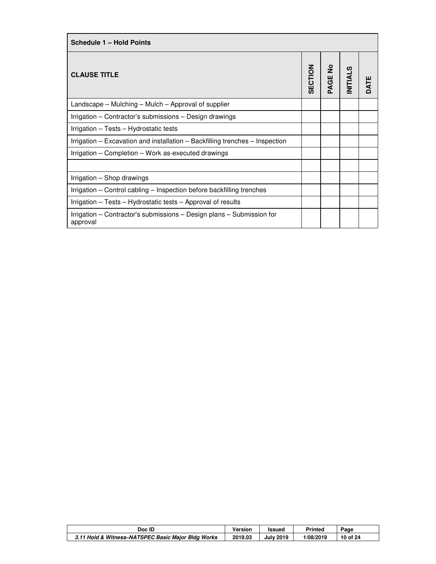| <b>Schedule 1 - Hold Points</b>                                                   |                |        |                |  |  |
|-----------------------------------------------------------------------------------|----------------|--------|----------------|--|--|
| <b>CLAUSE TITLE</b>                                                               | <b>SECTION</b> | AGE No | <b>NITIALS</b> |  |  |
| Landscape – Mulching – Mulch – Approval of supplier                               |                |        |                |  |  |
| Irrigation – Contractor's submissions – Design drawings                           |                |        |                |  |  |
| Irrigation - Tests - Hydrostatic tests                                            |                |        |                |  |  |
| Irrigation – Excavation and installation – Backfilling trenches – Inspection      |                |        |                |  |  |
| Irrigation – Completion – Work as-executed drawings                               |                |        |                |  |  |
|                                                                                   |                |        |                |  |  |
| Irrigation – Shop drawings                                                        |                |        |                |  |  |
| Irrigation - Control cabling - Inspection before backfilling trenches             |                |        |                |  |  |
| Irrigation - Tests - Hydrostatic tests - Approval of results                      |                |        |                |  |  |
| Irrigation – Contractor's submissions – Design plans – Submission for<br>approval |                |        |                |  |  |

| Doc ID                                             | Version | Issued           | <b>Printed</b> | Page     |
|----------------------------------------------------|---------|------------------|----------------|----------|
| 3.11 Hold & Witness-NATSPEC Basic Major Bldg Works | 2019.03 | <b>July 2019</b> | 1/08/2019      | 10 of 24 |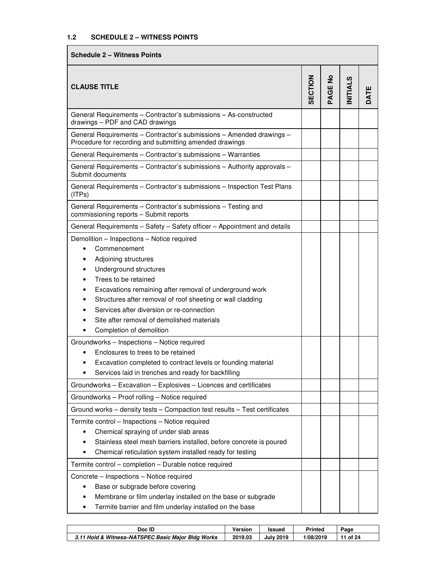| <b>Schedule 2 - Witness Points</b>                                                                                                                                                                                                                                                                                                                                                                                                                                                                                                                                                                                         |         |                       |                 |      |
|----------------------------------------------------------------------------------------------------------------------------------------------------------------------------------------------------------------------------------------------------------------------------------------------------------------------------------------------------------------------------------------------------------------------------------------------------------------------------------------------------------------------------------------------------------------------------------------------------------------------------|---------|-----------------------|-----------------|------|
| <b>CLAUSE TITLE</b>                                                                                                                                                                                                                                                                                                                                                                                                                                                                                                                                                                                                        | SECTION | $\frac{1}{2}$<br>PAGE | <b>INITIALS</b> | DATE |
| General Requirements - Contractor's submissions - As-constructed<br>drawings - PDF and CAD drawings                                                                                                                                                                                                                                                                                                                                                                                                                                                                                                                        |         |                       |                 |      |
| General Requirements - Contractor's submissions - Amended drawings -<br>Procedure for recording and submitting amended drawings                                                                                                                                                                                                                                                                                                                                                                                                                                                                                            |         |                       |                 |      |
| General Requirements - Contractor's submissions - Warranties                                                                                                                                                                                                                                                                                                                                                                                                                                                                                                                                                               |         |                       |                 |      |
| General Requirements - Contractor's submissions - Authority approvals -<br>Submit documents                                                                                                                                                                                                                                                                                                                                                                                                                                                                                                                                |         |                       |                 |      |
| General Requirements - Contractor's submissions - Inspection Test Plans<br>(IPS)                                                                                                                                                                                                                                                                                                                                                                                                                                                                                                                                           |         |                       |                 |      |
| General Requirements - Contractor's submissions - Testing and<br>commissioning reports - Submit reports                                                                                                                                                                                                                                                                                                                                                                                                                                                                                                                    |         |                       |                 |      |
| General Requirements - Safety - Safety officer - Appointment and details                                                                                                                                                                                                                                                                                                                                                                                                                                                                                                                                                   |         |                       |                 |      |
| Demolition - Inspections - Notice required<br>Commencement<br>$\bullet$<br>Adjoining structures<br>Underground structures<br>Trees to be retained<br>Excavations remaining after removal of underground work<br>Structures after removal of roof sheeting or wall cladding<br>$\bullet$<br>Services after diversion or re-connection<br>Site after removal of demolished materials<br>Completion of demolition<br>Groundworks - Inspections - Notice required<br>Enclosures to trees to be retained<br>Excavation completed to contract levels or founding material<br>Services laid in trenches and ready for backfilling |         |                       |                 |      |
| Groundworks - Excavation - Explosives - Licences and certificates                                                                                                                                                                                                                                                                                                                                                                                                                                                                                                                                                          |         |                       |                 |      |
| Groundworks - Proof rolling - Notice required<br>Ground works - density tests - Compaction test results - Test certificates                                                                                                                                                                                                                                                                                                                                                                                                                                                                                                |         |                       |                 |      |
| Termite control - Inspections - Notice required<br>Chemical spraying of under slab areas<br>$\bullet$<br>Stainless steel mesh barriers installed, before concrete is poured<br>Chemical reticulation system installed ready for testing<br>٠<br>Termite control - completion - Durable notice required<br>Concrete - Inspections - Notice required<br>Base or subgrade before covering<br>$\bullet$<br>Membrane or film underlay installed on the base or subgrade<br>Termite barrier and film underlay installed on the base<br>٠                                                                                         |         |                       |                 |      |

| Doc ID                                             | Version | <b>Issued</b>    | Printed   | Page  |
|----------------------------------------------------|---------|------------------|-----------|-------|
| 3.11 Hold & Witness-NATSPEC Basic Major Bldg Works | 2019.03 | <b>July 2019</b> | 1/08/2019 | of 24 |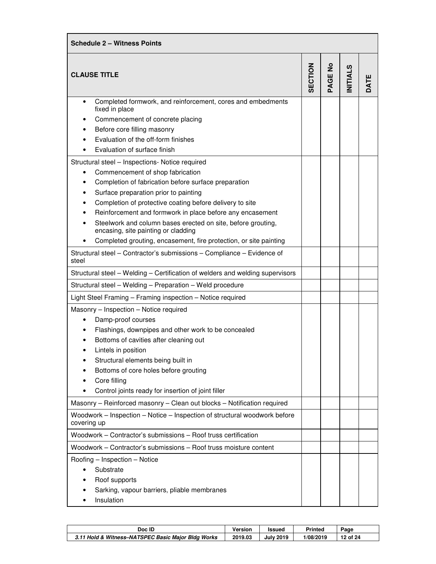| <b>Schedule 2 - Witness Points</b>                                                                                                                                                                                                                                                                                                                                                                                                                                                                                                                                                                                                                                                                                                                                                                  |         |                               |                |      |  |
|-----------------------------------------------------------------------------------------------------------------------------------------------------------------------------------------------------------------------------------------------------------------------------------------------------------------------------------------------------------------------------------------------------------------------------------------------------------------------------------------------------------------------------------------------------------------------------------------------------------------------------------------------------------------------------------------------------------------------------------------------------------------------------------------------------|---------|-------------------------------|----------------|------|--|
| <b>CLAUSE TITLE</b>                                                                                                                                                                                                                                                                                                                                                                                                                                                                                                                                                                                                                                                                                                                                                                                 | SECTION | $\frac{1}{2}$<br><b>PAGEI</b> | <b>NITIALS</b> | DATE |  |
| Completed formwork, and reinforcement, cores and embedments<br>fixed in place<br>Commencement of concrete placing<br>Before core filling masonry<br>Evaluation of the off-form finishes<br>Evaluation of surface finish<br>Structural steel - Inspections- Notice required<br>Commencement of shop fabrication<br>٠<br>Completion of fabrication before surface preparation<br>Surface preparation prior to painting<br>Completion of protective coating before delivery to site<br>Reinforcement and formwork in place before any encasement<br>Steelwork and column bases erected on site, before grouting,<br>encasing, site painting or cladding<br>Completed grouting, encasement, fire protection, or site painting<br>Structural steel - Contractor's submissions - Compliance - Evidence of |         |                               |                |      |  |
| steel<br>Structural steel - Welding - Certification of welders and welding supervisors                                                                                                                                                                                                                                                                                                                                                                                                                                                                                                                                                                                                                                                                                                              |         |                               |                |      |  |
| Structural steel - Welding - Preparation - Weld procedure                                                                                                                                                                                                                                                                                                                                                                                                                                                                                                                                                                                                                                                                                                                                           |         |                               |                |      |  |
| Light Steel Framing - Framing inspection - Notice required                                                                                                                                                                                                                                                                                                                                                                                                                                                                                                                                                                                                                                                                                                                                          |         |                               |                |      |  |
| Masonry - Inspection - Notice required<br>Damp-proof courses<br>Flashings, downpipes and other work to be concealed<br>Bottoms of cavities after cleaning out<br>Lintels in position<br>Structural elements being built in<br>Bottoms of core holes before grouting<br>Core filling<br>Control joints ready for insertion of joint filler                                                                                                                                                                                                                                                                                                                                                                                                                                                           |         |                               |                |      |  |
| Masonry - Reinforced masonry - Clean out blocks - Notification required                                                                                                                                                                                                                                                                                                                                                                                                                                                                                                                                                                                                                                                                                                                             |         |                               |                |      |  |
| Woodwork - Inspection - Notice - Inspection of structural woodwork before<br>covering up                                                                                                                                                                                                                                                                                                                                                                                                                                                                                                                                                                                                                                                                                                            |         |                               |                |      |  |
| Woodwork - Contractor's submissions - Roof truss certification                                                                                                                                                                                                                                                                                                                                                                                                                                                                                                                                                                                                                                                                                                                                      |         |                               |                |      |  |
| Woodwork - Contractor's submissions - Roof truss moisture content                                                                                                                                                                                                                                                                                                                                                                                                                                                                                                                                                                                                                                                                                                                                   |         |                               |                |      |  |
| Roofing - Inspection - Notice<br>Substrate<br>Roof supports<br>Sarking, vapour barriers, pliable membranes<br>Insulation                                                                                                                                                                                                                                                                                                                                                                                                                                                                                                                                                                                                                                                                            |         |                               |                |      |  |

| Doc ID                                             | Version | <b>Issued</b>    | Printed   | Page     |
|----------------------------------------------------|---------|------------------|-----------|----------|
| 3.11 Hold & Witness-NATSPEC Basic Major Bldg Works | 2019.03 | <b>July 2019</b> | 1/08/2019 | 12 of 24 |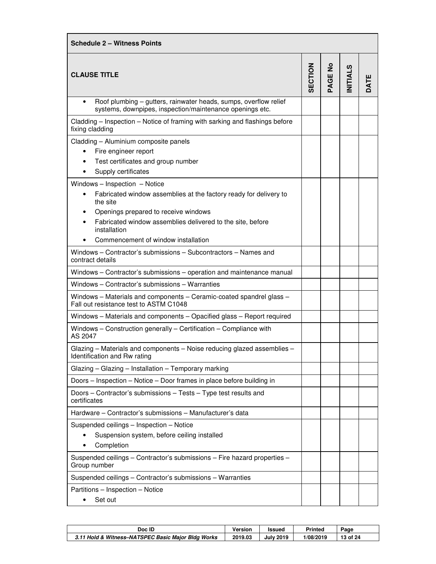| <b>Schedule 2 - Witness Points</b>                                                                                           |         |         |                |      |  |
|------------------------------------------------------------------------------------------------------------------------------|---------|---------|----------------|------|--|
| <b>CLAUSE TITLE</b>                                                                                                          | SECTION | PAGE No | <b>NITIALS</b> | DATE |  |
| Roof plumbing - gutters, rainwater heads, sumps, overflow relief<br>systems, downpipes, inspection/maintenance openings etc. |         |         |                |      |  |
| Cladding – Inspection – Notice of framing with sarking and flashings before<br>fixing cladding                               |         |         |                |      |  |
| Cladding - Aluminium composite panels                                                                                        |         |         |                |      |  |
| Fire engineer report<br>$\bullet$                                                                                            |         |         |                |      |  |
| Test certificates and group number                                                                                           |         |         |                |      |  |
| Supply certificates                                                                                                          |         |         |                |      |  |
| Windows - Inspection - Notice<br>Fabricated window assemblies at the factory ready for delivery to<br>$\bullet$<br>the site  |         |         |                |      |  |
| Openings prepared to receive windows                                                                                         |         |         |                |      |  |
| Fabricated window assemblies delivered to the site, before<br>installation                                                   |         |         |                |      |  |
| Commencement of window installation                                                                                          |         |         |                |      |  |
| Windows – Contractor's submissions – Subcontractors – Names and<br>contract details                                          |         |         |                |      |  |
| Windows - Contractor's submissions - operation and maintenance manual                                                        |         |         |                |      |  |
| Windows - Contractor's submissions - Warranties                                                                              |         |         |                |      |  |
| Windows - Materials and components - Ceramic-coated spandrel glass -<br>Fall out resistance test to ASTM C1048               |         |         |                |      |  |
| Windows - Materials and components - Opacified glass - Report required                                                       |         |         |                |      |  |
| Windows - Construction generally - Certification - Compliance with<br>AS 2047                                                |         |         |                |      |  |
| Glazing - Materials and components - Noise reducing glazed assemblies -<br>Identification and Rw rating                      |         |         |                |      |  |
| Glazing - Glazing - Installation - Temporary marking                                                                         |         |         |                |      |  |
| Doors - Inspection - Notice - Door frames in place before building in                                                        |         |         |                |      |  |
| Doors - Contractor's submissions - Tests - Type test results and<br>certificates                                             |         |         |                |      |  |
| Hardware - Contractor's submissions - Manufacturer's data                                                                    |         |         |                |      |  |
| Suspended ceilings - Inspection - Notice                                                                                     |         |         |                |      |  |
| Suspension system, before ceiling installed                                                                                  |         |         |                |      |  |
| Completion                                                                                                                   |         |         |                |      |  |
| Suspended ceilings - Contractor's submissions - Fire hazard properties -<br>Group number                                     |         |         |                |      |  |
| Suspended ceilings - Contractor's submissions - Warranties                                                                   |         |         |                |      |  |
| Partitions - Inspection - Notice                                                                                             |         |         |                |      |  |
| Set out                                                                                                                      |         |         |                |      |  |

| Doc ID                                             | Version | <b>Issued</b>    | <b>Printed</b> | Page     |
|----------------------------------------------------|---------|------------------|----------------|----------|
| 3.11 Hold & Witness-NATSPEC Basic Major Bldg Works | 2019.03 | <b>July 2019</b> | 1/08/2019      | 13 of 24 |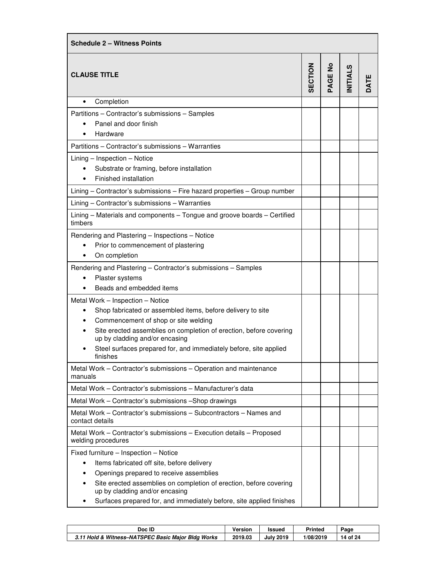| <b>Schedule 2 - Witness Points</b>                                                                   |         |         |                |      |
|------------------------------------------------------------------------------------------------------|---------|---------|----------------|------|
| <b>CLAUSE TITLE</b>                                                                                  | SECTION | PAGE No | <b>NITIALS</b> | DATE |
| Completion<br>$\bullet$                                                                              |         |         |                |      |
| Partitions - Contractor's submissions - Samples                                                      |         |         |                |      |
| Panel and door finish                                                                                |         |         |                |      |
| Hardware                                                                                             |         |         |                |      |
| Partitions - Contractor's submissions - Warranties                                                   |         |         |                |      |
| Lining - Inspection - Notice                                                                         |         |         |                |      |
| Substrate or framing, before installation                                                            |         |         |                |      |
| Finished installation                                                                                |         |         |                |      |
| Lining - Contractor's submissions - Fire hazard properties - Group number                            |         |         |                |      |
| Lining - Contractor's submissions - Warranties                                                       |         |         |                |      |
| Lining - Materials and components - Tongue and groove boards - Certified<br>timbers                  |         |         |                |      |
| Rendering and Plastering - Inspections - Notice                                                      |         |         |                |      |
| Prior to commencement of plastering                                                                  |         |         |                |      |
| On completion                                                                                        |         |         |                |      |
| Rendering and Plastering - Contractor's submissions - Samples                                        |         |         |                |      |
| Plaster systems                                                                                      |         |         |                |      |
| Beads and embedded items                                                                             |         |         |                |      |
| Metal Work - Inspection - Notice                                                                     |         |         |                |      |
| Shop fabricated or assembled items, before delivery to site<br>$\bullet$                             |         |         |                |      |
| Commencement of shop or site welding                                                                 |         |         |                |      |
| Site erected assemblies on completion of erection, before covering<br>up by cladding and/or encasing |         |         |                |      |
| Steel surfaces prepared for, and immediately before, site applied<br>finishes                        |         |         |                |      |
| Metal Work - Contractor's submissions - Operation and maintenance<br>manuals                         |         |         |                |      |
| Metal Work – Contractor's submissions – Manufacturer's data                                          |         |         |                |      |
| Metal Work - Contractor's submissions - Shop drawings                                                |         |         |                |      |
| Metal Work – Contractor's submissions – Subcontractors – Names and<br>contact details                |         |         |                |      |
| Metal Work - Contractor's submissions - Execution details - Proposed<br>welding procedures           |         |         |                |      |
| Fixed furniture - Inspection - Notice                                                                |         |         |                |      |
| Items fabricated off site, before delivery<br>٠                                                      |         |         |                |      |
| Openings prepared to receive assemblies                                                              |         |         |                |      |
| Site erected assemblies on completion of erection, before covering<br>up by cladding and/or encasing |         |         |                |      |
| Surfaces prepared for, and immediately before, site applied finishes                                 |         |         |                |      |

| Doc ID                                             | Version | Issued           | Printed   | Page        |
|----------------------------------------------------|---------|------------------|-----------|-------------|
| 3.11 Hold & Witness-NATSPEC Basic Major Bldg Works | 2019.03 | <b>July 2019</b> | 1/08/2019 | of 24<br>14 |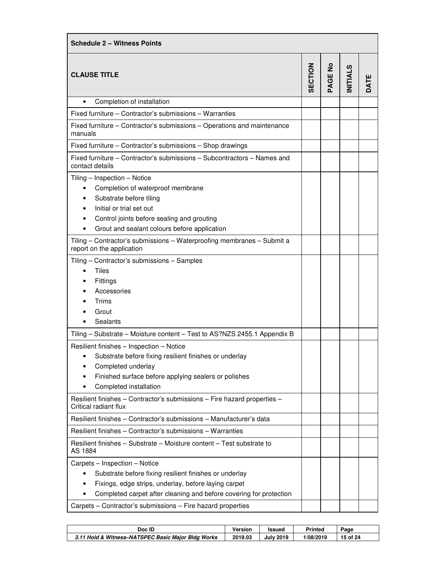| <b>Schedule 2 - Witness Points</b>                                                                                                                                                                                                                                                                                                                                                                                                                  |                |         |                |      |
|-----------------------------------------------------------------------------------------------------------------------------------------------------------------------------------------------------------------------------------------------------------------------------------------------------------------------------------------------------------------------------------------------------------------------------------------------------|----------------|---------|----------------|------|
| <b>CLAUSE TITLE</b>                                                                                                                                                                                                                                                                                                                                                                                                                                 | <b>SECTION</b> | PAGE No | <b>NITIALS</b> | DATE |
| Completion of installation                                                                                                                                                                                                                                                                                                                                                                                                                          |                |         |                |      |
| Fixed furniture – Contractor's submissions – Warranties                                                                                                                                                                                                                                                                                                                                                                                             |                |         |                |      |
| Fixed furniture – Contractor's submissions – Operations and maintenance<br>manuals                                                                                                                                                                                                                                                                                                                                                                  |                |         |                |      |
| Fixed furniture - Contractor's submissions - Shop drawings                                                                                                                                                                                                                                                                                                                                                                                          |                |         |                |      |
| Fixed furniture – Contractor's submissions – Subcontractors – Names and<br>contact details                                                                                                                                                                                                                                                                                                                                                          |                |         |                |      |
| Tiling - Inspection - Notice<br>Completion of waterproof membrane<br>$\bullet$<br>Substrate before tiling<br>Initial or trial set out<br>Control joints before sealing and grouting<br>Grout and sealant colours before application<br>$\bullet$<br>Tiling - Contractor's submissions - Waterproofing membranes - Submit a<br>report on the application<br>Tiling - Contractor's submissions - Samples<br>Tiles<br>Fittings<br>Accessories<br>Trims |                |         |                |      |
| Grout<br>Sealants                                                                                                                                                                                                                                                                                                                                                                                                                                   |                |         |                |      |
| Tiling - Substrate - Moisture content - Test to AS?NZS 2455.1 Appendix B                                                                                                                                                                                                                                                                                                                                                                            |                |         |                |      |
| Resilient finishes - Inspection - Notice<br>Substrate before fixing resilient finishes or underlay<br>Completed underlay<br>Finished surface before applying sealers or polishes<br>Completed installation<br>٠                                                                                                                                                                                                                                     |                |         |                |      |
| Resilient finishes - Contractor's submissions - Fire hazard properties -<br>Critical radiant flux                                                                                                                                                                                                                                                                                                                                                   |                |         |                |      |
| Resilient finishes - Contractor's submissions - Manufacturer's data                                                                                                                                                                                                                                                                                                                                                                                 |                |         |                |      |
| Resilient finishes - Contractor's submissions - Warranties                                                                                                                                                                                                                                                                                                                                                                                          |                |         |                |      |
| Resilient finishes – Substrate – Moisture content – Test substrate to<br>AS 1884                                                                                                                                                                                                                                                                                                                                                                    |                |         |                |      |
| Carpets - Inspection - Notice<br>Substrate before fixing resilient finishes or underlay<br>Fixings, edge strips, underlay, before laying carpet<br>Completed carpet after cleaning and before covering for protection<br>٠<br>Carpets - Contractor's submissions - Fire hazard properties                                                                                                                                                           |                |         |                |      |

| Doc ID                                             | <b>Version</b> | Issued           | <b>Printed</b> | Page     |
|----------------------------------------------------|----------------|------------------|----------------|----------|
| 3.11 Hold & Witness-NATSPEC Basic Major Bldg Works | 2019.03        | <b>July 2019</b> | 1/08/2019      | 15 of 24 |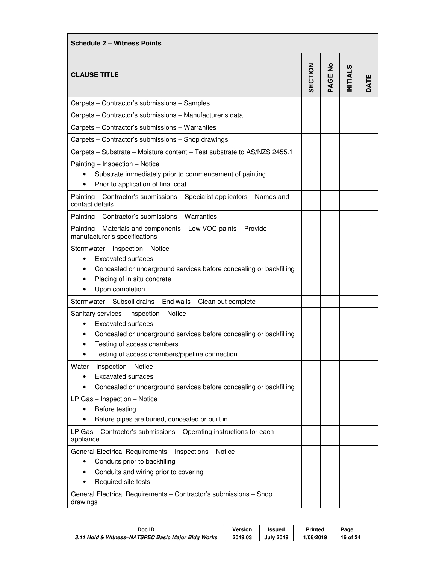| <b>Schedule 2 - Witness Points</b>                                                                                                                                                                                                      |                |                |                |      |  |
|-----------------------------------------------------------------------------------------------------------------------------------------------------------------------------------------------------------------------------------------|----------------|----------------|----------------|------|--|
| <b>CLAUSE TITLE</b>                                                                                                                                                                                                                     | <b>SECTION</b> | <b>PAGE No</b> | <b>NITIALS</b> | DATE |  |
| Carpets - Contractor's submissions - Samples                                                                                                                                                                                            |                |                |                |      |  |
| Carpets - Contractor's submissions - Manufacturer's data                                                                                                                                                                                |                |                |                |      |  |
| Carpets - Contractor's submissions - Warranties                                                                                                                                                                                         |                |                |                |      |  |
| Carpets - Contractor's submissions - Shop drawings                                                                                                                                                                                      |                |                |                |      |  |
| Carpets - Substrate - Moisture content - Test substrate to AS/NZS 2455.1                                                                                                                                                                |                |                |                |      |  |
| Painting - Inspection - Notice<br>Substrate immediately prior to commencement of painting<br>Prior to application of final coat                                                                                                         |                |                |                |      |  |
| Painting - Contractor's submissions - Specialist applicators - Names and<br>contact details                                                                                                                                             |                |                |                |      |  |
| Painting - Contractor's submissions - Warranties                                                                                                                                                                                        |                |                |                |      |  |
| Painting - Materials and components - Low VOC paints - Provide<br>manufacturer's specifications                                                                                                                                         |                |                |                |      |  |
| Stormwater - Inspection - Notice<br><b>Excavated surfaces</b><br>Concealed or underground services before concealing or backfilling<br>Placing of in situ concrete<br>Upon completion                                                   |                |                |                |      |  |
| Stormwater - Subsoil drains - End walls - Clean out complete                                                                                                                                                                            |                |                |                |      |  |
| Sanitary services - Inspection - Notice<br><b>Excavated surfaces</b><br>$\bullet$<br>Concealed or underground services before concealing or backfilling<br>Testing of access chambers<br>Testing of access chambers/pipeline connection |                |                |                |      |  |
| Water - Inspection - Notice<br><b>Excavated surfaces</b><br>Concealed or underground services before concealing or backfilling<br>٠                                                                                                     |                |                |                |      |  |
| LP Gas - Inspection - Notice<br>Before testing<br>$\bullet$<br>Before pipes are buried, concealed or built in                                                                                                                           |                |                |                |      |  |
| LP Gas - Contractor's submissions - Operating instructions for each<br>appliance                                                                                                                                                        |                |                |                |      |  |
| General Electrical Requirements - Inspections - Notice<br>Conduits prior to backfilling<br>٠<br>Conduits and wiring prior to covering<br>٠<br>Required site tests                                                                       |                |                |                |      |  |
| General Electrical Requirements - Contractor's submissions - Shop<br>drawings                                                                                                                                                           |                |                |                |      |  |

| Doc ID                                             | Version | <b>Issued</b>    | Printed   | Page        |
|----------------------------------------------------|---------|------------------|-----------|-------------|
| 3.11 Hold & Witness-NATSPEC Basic Major Bldg Works | 2019.03 | <b>July 2019</b> | 1/08/2019 | of 24<br>16 |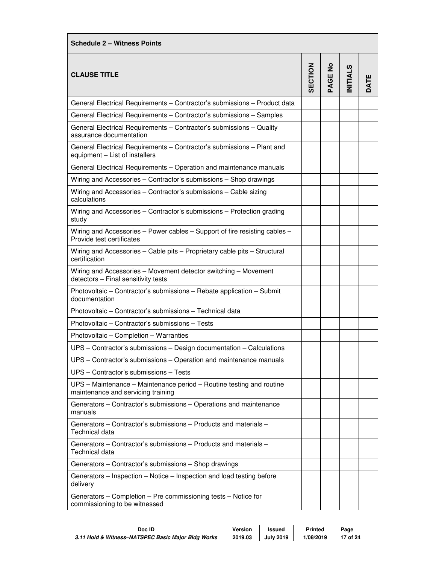| <b>Schedule 2 - Witness Points</b>                                                                         |         |         |                |      |
|------------------------------------------------------------------------------------------------------------|---------|---------|----------------|------|
| <b>CLAUSE TITLE</b>                                                                                        | SECTION | PAGE No | <b>NITIALS</b> | DATE |
| General Electrical Requirements - Contractor's submissions - Product data                                  |         |         |                |      |
| General Electrical Requirements - Contractor's submissions - Samples                                       |         |         |                |      |
| General Electrical Requirements - Contractor's submissions - Quality<br>assurance documentation            |         |         |                |      |
| General Electrical Requirements - Contractor's submissions - Plant and<br>equipment - List of installers   |         |         |                |      |
| General Electrical Requirements - Operation and maintenance manuals                                        |         |         |                |      |
| Wiring and Accessories - Contractor's submissions - Shop drawings                                          |         |         |                |      |
| Wiring and Accessories - Contractor's submissions - Cable sizing<br>calculations                           |         |         |                |      |
| Wiring and Accessories - Contractor's submissions - Protection grading<br>study                            |         |         |                |      |
| Wiring and Accessories - Power cables - Support of fire resisting cables -<br>Provide test certificates    |         |         |                |      |
| Wiring and Accessories - Cable pits - Proprietary cable pits - Structural<br>certification                 |         |         |                |      |
| Wiring and Accessories - Movement detector switching - Movement<br>detectors - Final sensitivity tests     |         |         |                |      |
| Photovoltaic – Contractor's submissions – Rebate application – Submit<br>documentation                     |         |         |                |      |
| Photovoltaic - Contractor's submissions - Technical data                                                   |         |         |                |      |
| Photovoltaic - Contractor's submissions - Tests                                                            |         |         |                |      |
| Photovoltaic - Completion - Warranties                                                                     |         |         |                |      |
| UPS - Contractor's submissions - Design documentation - Calculations                                       |         |         |                |      |
| UPS - Contractor's submissions - Operation and maintenance manuals                                         |         |         |                |      |
| UPS - Contractor's submissions - Tests                                                                     |         |         |                |      |
| UPS – Maintenance – Maintenance period – Routine testing and routine<br>maintenance and servicing training |         |         |                |      |
| Generators - Contractor's submissions - Operations and maintenance<br>manuals                              |         |         |                |      |
| Generators – Contractor's submissions – Products and materials –<br>Technical data                         |         |         |                |      |
| Generators – Contractor's submissions – Products and materials –<br>Technical data                         |         |         |                |      |
| Generators - Contractor's submissions - Shop drawings                                                      |         |         |                |      |
| Generators - Inspection - Notice - Inspection and load testing before<br>delivery                          |         |         |                |      |
| Generators – Completion – Pre commissioning tests – Notice for<br>commissioning to be witnessed            |         |         |                |      |

| Doc ID                                             | Version | Issued           | Printed   | Page  |
|----------------------------------------------------|---------|------------------|-----------|-------|
| 3.11 Hold & Witness-NATSPEC Basic Major Bldg Works | 2019.03 | <b>July 2019</b> | 1/08/2019 | of 24 |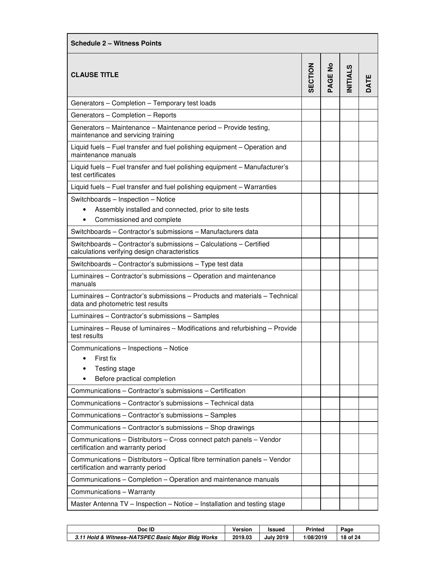| <b>Schedule 2 - Witness Points</b>                                                                                                    |         |                |                |      |  |
|---------------------------------------------------------------------------------------------------------------------------------------|---------|----------------|----------------|------|--|
| <b>CLAUSE TITLE</b>                                                                                                                   | SECTION | <b>PAGE No</b> | <b>NITIALS</b> | DATE |  |
| Generators - Completion - Temporary test loads                                                                                        |         |                |                |      |  |
| Generators - Completion - Reports                                                                                                     |         |                |                |      |  |
| Generators - Maintenance - Maintenance period - Provide testing,<br>maintenance and servicing training                                |         |                |                |      |  |
| Liquid fuels - Fuel transfer and fuel polishing equipment - Operation and<br>maintenance manuals                                      |         |                |                |      |  |
| Liquid fuels - Fuel transfer and fuel polishing equipment - Manufacturer's<br>test certificates                                       |         |                |                |      |  |
| Liquid fuels - Fuel transfer and fuel polishing equipment - Warranties                                                                |         |                |                |      |  |
| Switchboards - Inspection - Notice<br>Assembly installed and connected, prior to site tests<br>Commissioned and complete<br>$\bullet$ |         |                |                |      |  |
| Switchboards - Contractor's submissions - Manufacturers data                                                                          |         |                |                |      |  |
| Switchboards - Contractor's submissions - Calculations - Certified<br>calculations verifying design characteristics                   |         |                |                |      |  |
| Switchboards - Contractor's submissions - Type test data                                                                              |         |                |                |      |  |
| Luminaires - Contractor's submissions - Operation and maintenance<br>manuals                                                          |         |                |                |      |  |
| Luminaires – Contractor's submissions – Products and materials – Technical<br>data and photometric test results                       |         |                |                |      |  |
| Luminaires - Contractor's submissions - Samples                                                                                       |         |                |                |      |  |
| Luminaires - Reuse of luminaires - Modifications and refurbishing - Provide<br>test results                                           |         |                |                |      |  |
| Communications - Inspections - Notice<br>First fix<br>Testing stage<br>Before practical completion                                    |         |                |                |      |  |
| Communications - Contractor's submissions - Certification                                                                             |         |                |                |      |  |
| Communications - Contractor's submissions - Technical data                                                                            |         |                |                |      |  |
| Communications - Contractor's submissions - Samples                                                                                   |         |                |                |      |  |
| Communications - Contractor's submissions - Shop drawings                                                                             |         |                |                |      |  |
| Communications - Distributors - Cross connect patch panels - Vendor<br>certification and warranty period                              |         |                |                |      |  |
| Communications - Distributors - Optical fibre termination panels - Vendor<br>certification and warranty period                        |         |                |                |      |  |
| Communications - Completion - Operation and maintenance manuals                                                                       |         |                |                |      |  |
| Communications - Warranty                                                                                                             |         |                |                |      |  |
| Master Antenna TV - Inspection - Notice - Installation and testing stage                                                              |         |                |                |      |  |

| Doc ID                                             | Version | <b>Issued</b>    | <b>Printed</b> | Page        |
|----------------------------------------------------|---------|------------------|----------------|-------------|
| 3.11 Hold & Witness-NATSPEC Basic Major Bldg Works | 2019.03 | <b>July 2019</b> | 1/08/2019      | of 24<br>18 |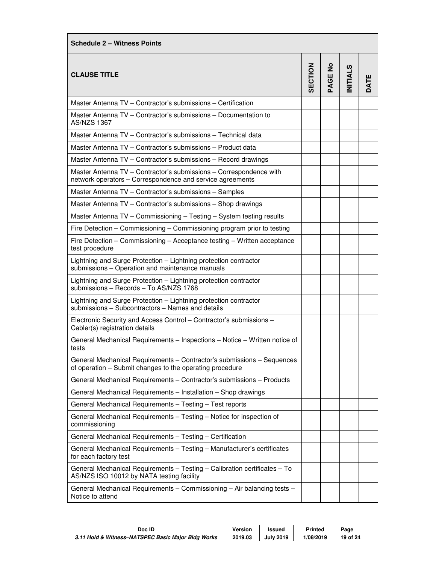| <b>Schedule 2 – Witness Points</b>                                                                                                 |         |         |                |      |
|------------------------------------------------------------------------------------------------------------------------------------|---------|---------|----------------|------|
| <b>CLAUSE TITLE</b>                                                                                                                | SECTION | PAGE No | <b>NITIALS</b> | DATE |
| Master Antenna TV - Contractor's submissions - Certification                                                                       |         |         |                |      |
| Master Antenna TV – Contractor's submissions – Documentation to<br><b>AS/NZS 1367</b>                                              |         |         |                |      |
| Master Antenna TV - Contractor's submissions - Technical data                                                                      |         |         |                |      |
| Master Antenna TV - Contractor's submissions - Product data                                                                        |         |         |                |      |
| Master Antenna TV - Contractor's submissions - Record drawings                                                                     |         |         |                |      |
| Master Antenna TV - Contractor's submissions - Correspondence with<br>network operators - Correspondence and service agreements    |         |         |                |      |
| Master Antenna TV - Contractor's submissions - Samples                                                                             |         |         |                |      |
| Master Antenna TV - Contractor's submissions - Shop drawings                                                                       |         |         |                |      |
| Master Antenna TV - Commissioning - Testing - System testing results                                                               |         |         |                |      |
| Fire Detection – Commissioning – Commissioning program prior to testing                                                            |         |         |                |      |
| Fire Detection – Commissioning – Acceptance testing – Written acceptance<br>test procedure                                         |         |         |                |      |
| Lightning and Surge Protection - Lightning protection contractor<br>submissions - Operation and maintenance manuals                |         |         |                |      |
| Lightning and Surge Protection - Lightning protection contractor<br>submissions - Records - To AS/NZS 1768                         |         |         |                |      |
| Lightning and Surge Protection - Lightning protection contractor<br>submissions - Subcontractors - Names and details               |         |         |                |      |
| Electronic Security and Access Control – Contractor's submissions –<br>Cabler(s) registration details                              |         |         |                |      |
| General Mechanical Requirements - Inspections - Notice - Written notice of<br>tests                                                |         |         |                |      |
| General Mechanical Requirements - Contractor's submissions - Sequences<br>of operation – Submit changes to the operating procedure |         |         |                |      |
| General Mechanical Requirements - Contractor's submissions - Products                                                              |         |         |                |      |
| General Mechanical Requirements - Installation - Shop drawings                                                                     |         |         |                |      |
| General Mechanical Requirements - Testing - Test reports                                                                           |         |         |                |      |
| General Mechanical Requirements - Testing - Notice for inspection of<br>commissioning                                              |         |         |                |      |
| General Mechanical Requirements - Testing - Certification                                                                          |         |         |                |      |
| General Mechanical Requirements - Testing - Manufacturer's certificates<br>for each factory test                                   |         |         |                |      |
| General Mechanical Requirements - Testing - Calibration certificates - To<br>AS/NZS ISO 10012 by NATA testing facility             |         |         |                |      |
| General Mechanical Requirements - Commissioning - Air balancing tests -<br>Notice to attend                                        |         |         |                |      |

| Doc ID                                             | Version | Issued           | <b>Printed</b> | Page          |
|----------------------------------------------------|---------|------------------|----------------|---------------|
| 3.11 Hold & Witness-NATSPEC Basic Maior Bldg Works | 2019.03 | <b>July 2019</b> | 1/08/2019      | ้ of 24<br>19 |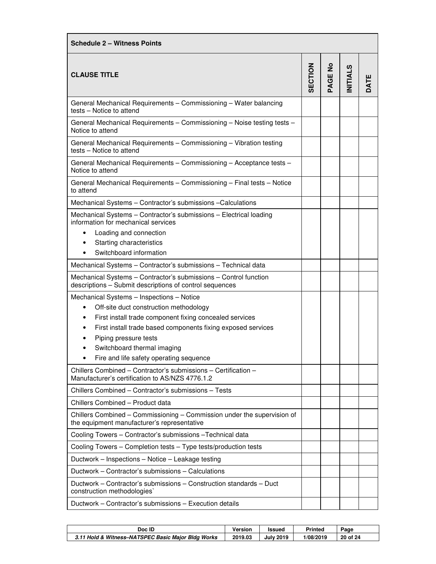| <b>Schedule 2 - Witness Points</b>                                                                                          |                |                |                |                  |  |
|-----------------------------------------------------------------------------------------------------------------------------|----------------|----------------|----------------|------------------|--|
| <b>CLAUSE TITLE</b>                                                                                                         | <b>SECTION</b> | <b>PAGE No</b> | <b>NITIALS</b> | ш<br><b>TATI</b> |  |
| General Mechanical Requirements - Commissioning - Water balancing<br>tests - Notice to attend                               |                |                |                |                  |  |
| General Mechanical Requirements - Commissioning - Noise testing tests -<br>Notice to attend                                 |                |                |                |                  |  |
| General Mechanical Requirements - Commissioning - Vibration testing<br>tests - Notice to attend                             |                |                |                |                  |  |
| General Mechanical Requirements - Commissioning - Acceptance tests -<br>Notice to attend                                    |                |                |                |                  |  |
| General Mechanical Requirements - Commissioning - Final tests - Notice<br>to attend                                         |                |                |                |                  |  |
| Mechanical Systems - Contractor's submissions - Calculations                                                                |                |                |                |                  |  |
| Mechanical Systems - Contractor's submissions - Electrical loading<br>information for mechanical services                   |                |                |                |                  |  |
| Loading and connection<br>$\bullet$                                                                                         |                |                |                |                  |  |
| Starting characteristics                                                                                                    |                |                |                |                  |  |
| Switchboard information                                                                                                     |                |                |                |                  |  |
| Mechanical Systems - Contractor's submissions - Technical data                                                              |                |                |                |                  |  |
| Mechanical Systems - Contractor's submissions - Control function<br>descriptions - Submit descriptions of control sequences |                |                |                |                  |  |
| Mechanical Systems - Inspections - Notice                                                                                   |                |                |                |                  |  |
| Off-site duct construction methodology<br>$\bullet$                                                                         |                |                |                |                  |  |
| First install trade component fixing concealed services<br>٠                                                                |                |                |                |                  |  |
| First install trade based components fixing exposed services<br>٠                                                           |                |                |                |                  |  |
| Piping pressure tests                                                                                                       |                |                |                |                  |  |
| Switchboard thermal imaging                                                                                                 |                |                |                |                  |  |
| Fire and life safety operating sequence                                                                                     |                |                |                |                  |  |
| Chillers Combined - Contractor's submissions - Certification -<br>Manufacturer's certification to AS/NZS 4776.1.2           |                |                |                |                  |  |
| Chillers Combined - Contractor's submissions - Tests                                                                        |                |                |                |                  |  |
| Chillers Combined - Product data                                                                                            |                |                |                |                  |  |
| Chillers Combined - Commissioning - Commission under the supervision of<br>the equipment manufacturer's representative      |                |                |                |                  |  |
| Cooling Towers - Contractor's submissions - Technical data                                                                  |                |                |                |                  |  |
| Cooling Towers - Completion tests - Type tests/production tests                                                             |                |                |                |                  |  |
| Ductwork - Inspections - Notice - Leakage testing                                                                           |                |                |                |                  |  |
| Ductwork – Contractor's submissions – Calculations                                                                          |                |                |                |                  |  |
| Ductwork – Contractor's submissions – Construction standards – Duct<br>construction methodologies                           |                |                |                |                  |  |
| Ductwork - Contractor's submissions - Execution details                                                                     |                |                |                |                  |  |
|                                                                                                                             |                |                |                |                  |  |

| Doc ID                                             | Version | <b>Issued</b>    | <b>Printed</b> | Page        |
|----------------------------------------------------|---------|------------------|----------------|-------------|
| 3.11 Hold & Witness-NATSPEC Basic Major Bldg Works | 2019.03 | <b>July 2019</b> | 1/08/2019      | 20<br>of 24 |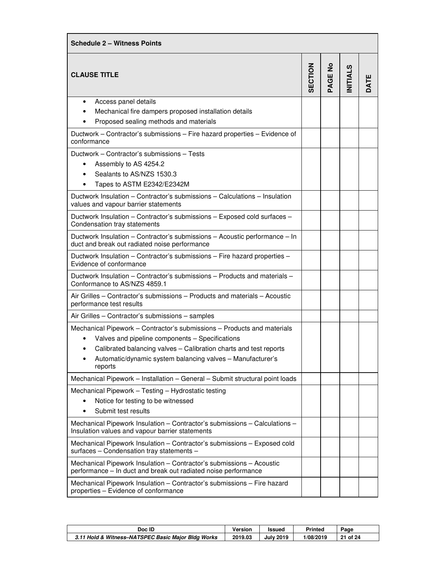| <b>Schedule 2 - Witness Points</b>                                                                                                                                                                   |                |                |                |      |
|------------------------------------------------------------------------------------------------------------------------------------------------------------------------------------------------------|----------------|----------------|----------------|------|
| <b>CLAUSE TITLE</b>                                                                                                                                                                                  | <b>SECTION</b> | <b>PAGE No</b> | <b>NITIALS</b> | DATE |
| Access panel details<br>٠                                                                                                                                                                            |                |                |                |      |
| Mechanical fire dampers proposed installation details                                                                                                                                                |                |                |                |      |
| Proposed sealing methods and materials                                                                                                                                                               |                |                |                |      |
| Ductwork - Contractor's submissions - Fire hazard properties - Evidence of<br>conformance                                                                                                            |                |                |                |      |
| Ductwork - Contractor's submissions - Tests                                                                                                                                                          |                |                |                |      |
| Assembly to AS 4254.2<br>$\bullet$                                                                                                                                                                   |                |                |                |      |
| Sealants to AS/NZS 1530.3                                                                                                                                                                            |                |                |                |      |
| Tapes to ASTM E2342/E2342M                                                                                                                                                                           |                |                |                |      |
| Ductwork Insulation - Contractor's submissions - Calculations - Insulation<br>values and vapour barrier statements                                                                                   |                |                |                |      |
| Ductwork Insulation - Contractor's submissions - Exposed cold surfaces -<br>Condensation tray statements                                                                                             |                |                |                |      |
| Ductwork Insulation - Contractor's submissions - Acoustic performance - In<br>duct and break out radiated noise performance                                                                          |                |                |                |      |
| Ductwork Insulation - Contractor's submissions - Fire hazard properties -<br>Evidence of conformance                                                                                                 |                |                |                |      |
| Ductwork Insulation – Contractor's submissions – Products and materials –<br>Conformance to AS/NZS 4859.1                                                                                            |                |                |                |      |
| Air Grilles - Contractor's submissions - Products and materials - Acoustic<br>performance test results                                                                                               |                |                |                |      |
| Air Grilles - Contractor's submissions - samples                                                                                                                                                     |                |                |                |      |
| Mechanical Pipework - Contractor's submissions - Products and materials<br>Valves and pipeline components - Specifications<br>Calibrated balancing valves - Calibration charts and test reports<br>٠ |                |                |                |      |
| Automatic/dynamic system balancing valves - Manufacturer's<br>reports                                                                                                                                |                |                |                |      |
| Mechanical Pipework - Installation - General - Submit structural point loads                                                                                                                         |                |                |                |      |
| Mechanical Pipework - Testing - Hydrostatic testing                                                                                                                                                  |                |                |                |      |
| Notice for testing to be witnessed                                                                                                                                                                   |                |                |                |      |
| Submit test results<br>٠                                                                                                                                                                             |                |                |                |      |
| Mechanical Pipework Insulation - Contractor's submissions - Calculations -<br>Insulation values and vapour barrier statements                                                                        |                |                |                |      |
| Mechanical Pipework Insulation - Contractor's submissions - Exposed cold<br>surfaces - Condensation tray statements -                                                                                |                |                |                |      |
| Mechanical Pipework Insulation - Contractor's submissions - Acoustic<br>performance - In duct and break out radiated noise performance                                                               |                |                |                |      |
| Mechanical Pipework Insulation - Contractor's submissions - Fire hazard<br>properties - Evidence of conformance                                                                                      |                |                |                |      |

| Doc ID                                             | Version | <b>Issued</b>    | <b>Printed</b> | Page         |
|----------------------------------------------------|---------|------------------|----------------|--------------|
| 3.11 Hold & Witness-NATSPEC Basic Major Bldg Works | 2019.03 | <b>July 2019</b> | 1/08/2019      | าก† 24<br>21 |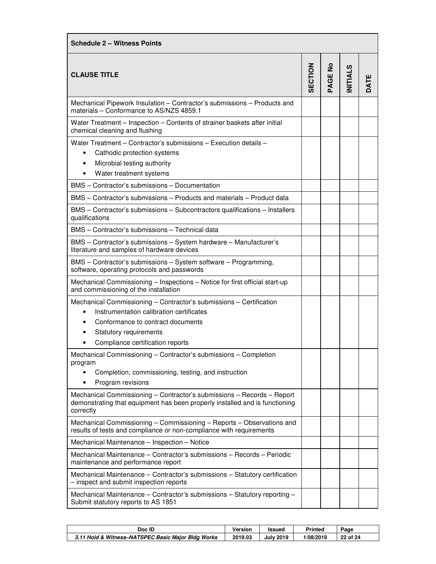| <b>Schedule 2 - Witness Points</b>                                                                                                                                               |         |         |                |      |  |  |
|----------------------------------------------------------------------------------------------------------------------------------------------------------------------------------|---------|---------|----------------|------|--|--|
| <b>CLAUSE TITLE</b>                                                                                                                                                              | SECTION | PAGE No | <b>NITIALS</b> | DATE |  |  |
| Mechanical Pipework Insulation - Contractor's submissions - Products and<br>materials - Conformance to AS/NZS 4859.1                                                             |         |         |                |      |  |  |
| Water Treatment - Inspection - Contents of strainer baskets after initial<br>chemical cleaning and flushing                                                                      |         |         |                |      |  |  |
| Water Treatment - Contractor's submissions - Execution details -<br>Cathodic protection systems<br>$\bullet$<br>Microbial testing authority<br>٠<br>Water treatment systems<br>٠ |         |         |                |      |  |  |
| BMS - Contractor's submissions - Documentation                                                                                                                                   |         |         |                |      |  |  |
| BMS - Contractor's submissions - Products and materials - Product data                                                                                                           |         |         |                |      |  |  |
| BMS - Contractor's submissions - Subcontractors qualifications - Installers<br>qualifications                                                                                    |         |         |                |      |  |  |
| BMS - Contractor's submissions - Technical data                                                                                                                                  |         |         |                |      |  |  |
| BMS - Contractor's submissions - System hardware - Manufacturer's<br>literature and samples of hardware devices                                                                  |         |         |                |      |  |  |
| BMS - Contractor's submissions - System software - Programming,<br>software, operating protocols and passwords                                                                   |         |         |                |      |  |  |
| Mechanical Commissioning - Inspections - Notice for first official start-up<br>and commissioning of the installation                                                             |         |         |                |      |  |  |
| Mechanical Commissioning - Contractor's submissions - Certification                                                                                                              |         |         |                |      |  |  |
| Instrumentation calibration certificates                                                                                                                                         |         |         |                |      |  |  |
| Conformance to contract documents                                                                                                                                                |         |         |                |      |  |  |
| Statutory requirements                                                                                                                                                           |         |         |                |      |  |  |
| Compliance certification reports                                                                                                                                                 |         |         |                |      |  |  |
| Mechanical Commissioning - Contractor's submissions - Completion<br>program                                                                                                      |         |         |                |      |  |  |
| Completion, commissioning, testing, and instruction                                                                                                                              |         |         |                |      |  |  |
| Program revisions<br>$\bullet$                                                                                                                                                   |         |         |                |      |  |  |
| Mechanical Commissioning - Contractor's submissions - Records - Report<br>demonstrating that equipment has been properly installed and is functioning<br>correctly               |         |         |                |      |  |  |
| Mechanical Commissioning - Commissioning - Reports - Observations and<br>results of tests and compliance or non-compliance with requirements                                     |         |         |                |      |  |  |
| Mechanical Maintenance - Inspection - Notice                                                                                                                                     |         |         |                |      |  |  |
| Mechanical Maintenance - Contractor's submissions - Records - Periodic<br>maintenance and performance report                                                                     |         |         |                |      |  |  |
| Mechanical Maintenance - Contractor's submissions - Statutory certification<br>- inspect and submit inspection reports                                                           |         |         |                |      |  |  |
| Mechanical Maintenance - Contractor's submissions - Statutory reporting -<br>Submit statutory reports to AS 1851                                                                 |         |         |                |      |  |  |

| Doc ID                                             | <b>Version</b> | Issued           | <b>Printed</b> | Page     |
|----------------------------------------------------|----------------|------------------|----------------|----------|
| 3.11 Hold & Witness-NATSPEC Basic Maior Bldg Works | 2019.03        | <b>July 2019</b> | 1/08/2019      | 22 of 24 |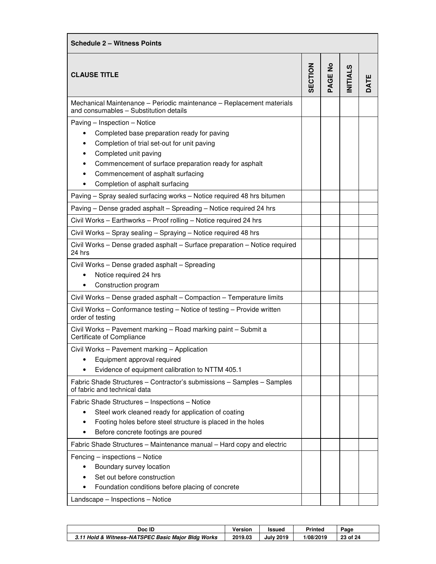| <b>Schedule 2 - Witness Points</b>                                                                                                                                                                                                                                                                  |                |        |                |      |  |  |
|-----------------------------------------------------------------------------------------------------------------------------------------------------------------------------------------------------------------------------------------------------------------------------------------------------|----------------|--------|----------------|------|--|--|
| <b>CLAUSE TITLE</b>                                                                                                                                                                                                                                                                                 | <b>SECTION</b> | AGE No | <b>NITIALS</b> | DATE |  |  |
| Mechanical Maintenance - Periodic maintenance - Replacement materials<br>and consumables - Substitution details                                                                                                                                                                                     |                |        |                |      |  |  |
| Paving - Inspection - Notice<br>Completed base preparation ready for paving<br>٠<br>Completion of trial set-out for unit paving<br>Completed unit paving<br>٠<br>Commencement of surface preparation ready for asphalt<br>Commencement of asphalt surfacing<br>٠<br>Completion of asphalt surfacing |                |        |                |      |  |  |
| Paving - Spray sealed surfacing works - Notice required 48 hrs bitumen                                                                                                                                                                                                                              |                |        |                |      |  |  |
| Paving - Dense graded asphalt - Spreading - Notice required 24 hrs                                                                                                                                                                                                                                  |                |        |                |      |  |  |
| Civil Works - Earthworks - Proof rolling - Notice required 24 hrs                                                                                                                                                                                                                                   |                |        |                |      |  |  |
| Civil Works - Spray sealing - Spraying - Notice required 48 hrs                                                                                                                                                                                                                                     |                |        |                |      |  |  |
| Civil Works - Dense graded asphalt - Surface preparation - Notice required<br>24 hrs                                                                                                                                                                                                                |                |        |                |      |  |  |
| Civil Works - Dense graded asphalt - Spreading<br>Notice required 24 hrs<br>Construction program<br>٠                                                                                                                                                                                               |                |        |                |      |  |  |
| Civil Works - Dense graded asphalt - Compaction - Temperature limits                                                                                                                                                                                                                                |                |        |                |      |  |  |
| Civil Works - Conformance testing - Notice of testing - Provide written<br>order of testing                                                                                                                                                                                                         |                |        |                |      |  |  |
| Civil Works - Pavement marking - Road marking paint - Submit a<br>Certificate of Compliance                                                                                                                                                                                                         |                |        |                |      |  |  |
| Civil Works - Pavement marking - Application                                                                                                                                                                                                                                                        |                |        |                |      |  |  |
| Equipment approval required                                                                                                                                                                                                                                                                         |                |        |                |      |  |  |
| Evidence of equipment calibration to NTTM 405.1                                                                                                                                                                                                                                                     |                |        |                |      |  |  |
| Fabric Shade Structures - Contractor's submissions - Samples - Samples<br>of fabric and technical data                                                                                                                                                                                              |                |        |                |      |  |  |
| Fabric Shade Structures - Inspections - Notice                                                                                                                                                                                                                                                      |                |        |                |      |  |  |
| Steel work cleaned ready for application of coating                                                                                                                                                                                                                                                 |                |        |                |      |  |  |
| Footing holes before steel structure is placed in the holes<br>٠                                                                                                                                                                                                                                    |                |        |                |      |  |  |
| Before concrete footings are poured                                                                                                                                                                                                                                                                 |                |        |                |      |  |  |
| Fabric Shade Structures - Maintenance manual - Hard copy and electric                                                                                                                                                                                                                               |                |        |                |      |  |  |
| Fencing – inspections – Notice<br>Boundary survey location                                                                                                                                                                                                                                          |                |        |                |      |  |  |
| Set out before construction                                                                                                                                                                                                                                                                         |                |        |                |      |  |  |
| Foundation conditions before placing of concrete                                                                                                                                                                                                                                                    |                |        |                |      |  |  |
| Landscape - Inspections - Notice                                                                                                                                                                                                                                                                    |                |        |                |      |  |  |

| Doc ID                                             | <b>Version</b> | Issued           | <b>Printed</b> | Page     |
|----------------------------------------------------|----------------|------------------|----------------|----------|
| 3.11 Hold & Witness-NATSPEC Basic Major Bldg Works | 2019.03        | <b>July 2019</b> | 1/08/2019      | 23 of 24 |